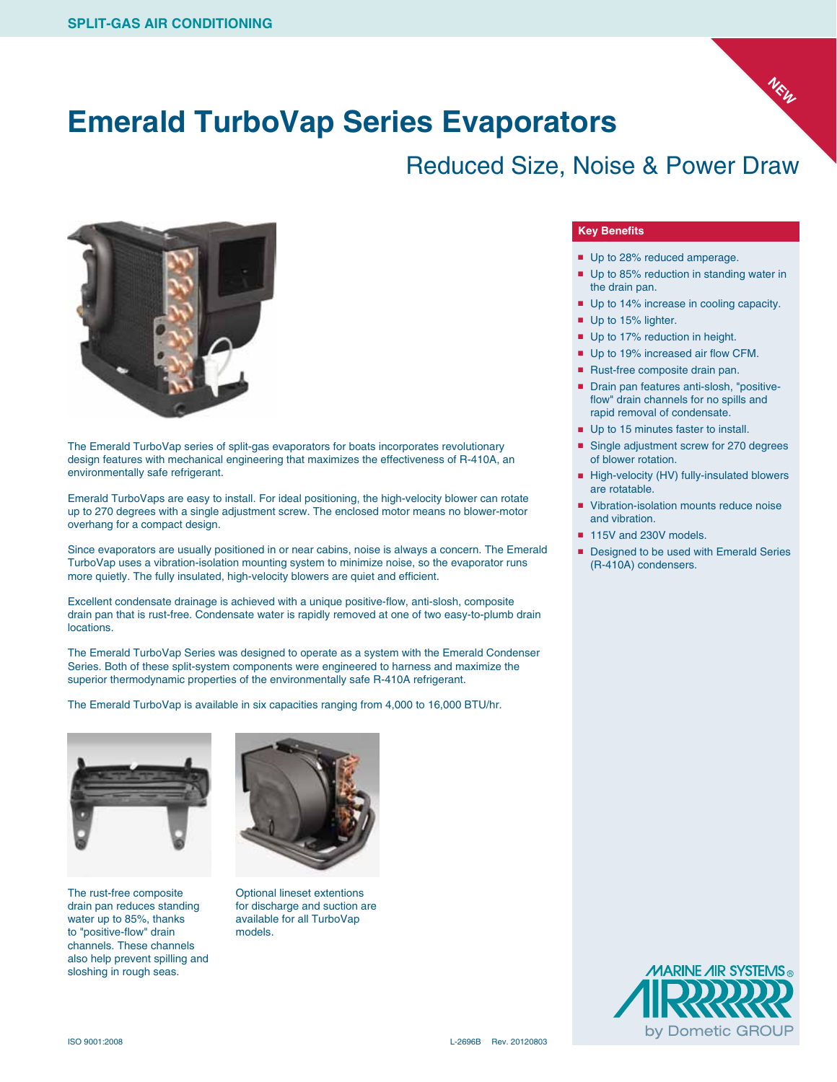

### Reduced Size, Noise & Power Draw



The Emerald TurboVap series of split-gas evaporators for boats incorporates revolutionary design features with mechanical engineering that maximizes the effectiveness of R-410A, an environmentally safe refrigerant.

Emerald TurboVaps are easy to install. For ideal positioning, the high-velocity blower can rotate up to 270 degrees with a single adjustment screw. The enclosed motor means no blower-motor overhang for a compact design.

Since evaporators are usually positioned in or near cabins, noise is always a concern. The Emerald TurboVap uses a vibration-isolation mounting system to minimize noise, so the evaporator runs more quietly. The fully insulated, high-velocity blowers are quiet and efficient.

Excellent condensate drainage is achieved with a unique positive-flow, anti-slosh, composite drain pan that is rust-free. Condensate water is rapidly removed at one of two easy-to-plumb drain locations.

The Emerald TurboVap Series was designed to operate as a system with the Emerald Condenser Series. Both of these split-system components were engineered to harness and maximize the superior thermodynamic properties of the environmentally safe R-410A refrigerant.

The Emerald TurboVap is available in six capacities ranging from 4,000 to 16,000 BTU/hr.



The rust-free composite drain pan reduces standing water up to 85%, thanks to "positive-flow" drain channels. These channels also help prevent spilling and sloshing in rough seas.



Optional lineset extentions for discharge and suction are available for all TurboVap models.

#### **Key Benefits**

- Up to 28% reduced amperage.
- Up to 85% reduction in standing water in the drain pan.

**NEW**

- Up to 14% increase in cooling capacity.
- Up to 15% lighter.
- Up to 17% reduction in height.
- Up to 19% increased air flow CFM.
- Rust-free composite drain pan.
- Drain pan features anti-slosh, "positiveflow" drain channels for no spills and rapid removal of condensate.
- Up to 15 minutes faster to install.
- Single adjustment screw for 270 degrees of blower rotation.
- High-velocity (HV) fully-insulated blowers are rotatable.
- Vibration-isolation mounts reduce noise and vibration.
- 115V and 230V models.
- Designed to be used with Emerald Series (R-410A) condensers.